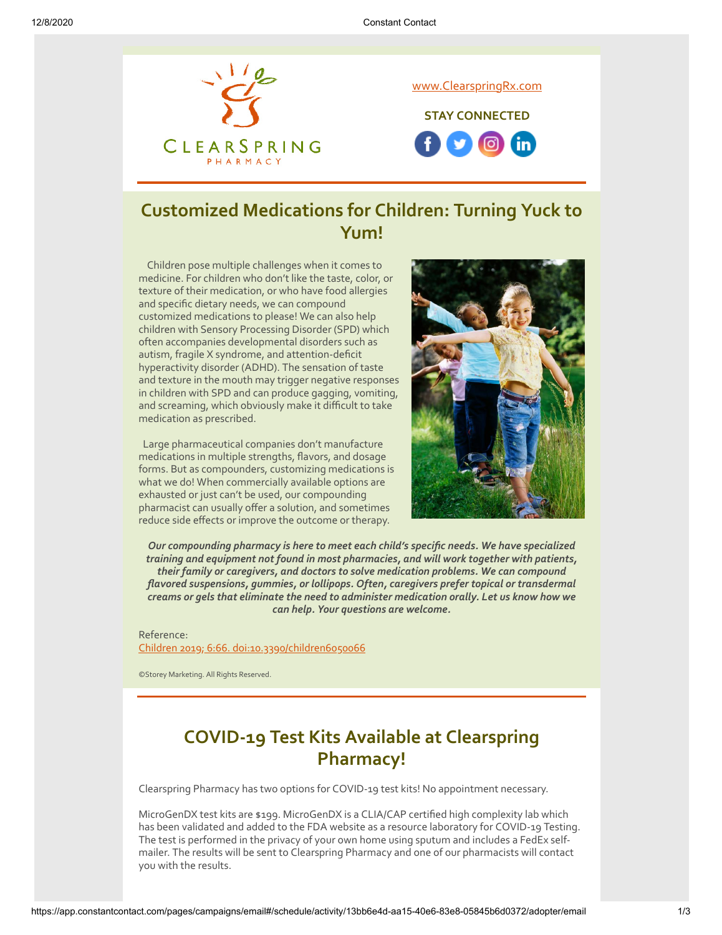

# **Customized Medications for Children: Turning Yuck to Yum!**

 Children pose multiple challenges when it comes to medicine. For children who don't like the taste, color, or texture of their medication, or who have food allergies and specific dietary needs, we can compound customized medications to please! We can also help children with Sensory Processing Disorder (SPD) which often accompanies developmental disorders such as autism, fragile X syndrome, and attention-deficit hyperactivity disorder (ADHD). The sensation of taste and texture in the mouth may trigger negative responses in children with SPD and can produce gagging, vomiting, and screaming, which obviously make it difficult to take medication as prescribed.

 Large pharmaceutical companies don't manufacture medications in multiple strengths, flavors, and dosage forms. But as compounders, customizing medications is what we do! When commercially available options are exhausted or just can't be used, our compounding pharmacist can usually offer a solution, and sometimes reduce side effects or improve the outcome or therapy.



*Our compounding pharmacy is here to meet each child's specific needs. We have specialized training and equipment not found in most pharmacies, and will work together with patients, their family or caregivers, and doctors to solve medication problems. We can compound flavored suspensions, gummies, or lollipops. Often, caregivers prefer topical or transdermal creams or gels that eliminate the need to administer medication orally. Let us know how we can help. Your questions are welcome.*

Reference: [Children 2019; 6:66. doi:10.3390/children6050066](https://www.mdpi.com/2227-9067/6/5/66)

©Storey Marketing. All Rights Reserved.

## **COVID-19 Test Kits Available at Clearspring Pharmacy!**

Clearspring Pharmacy has two options for COVID-19 test kits! No appointment necessary.

MicroGenDX test kits are \$199. MicroGenDX is a CLIA/CAP certified high complexity lab which has been validated and added to the FDA website as a resource laboratory for COVID-19 Testing. The test is performed in the privacy of your own home using sputum and includes a FedEx selfmailer. The results will be sent to Clearspring Pharmacy and one of our pharmacists will contact you with the results.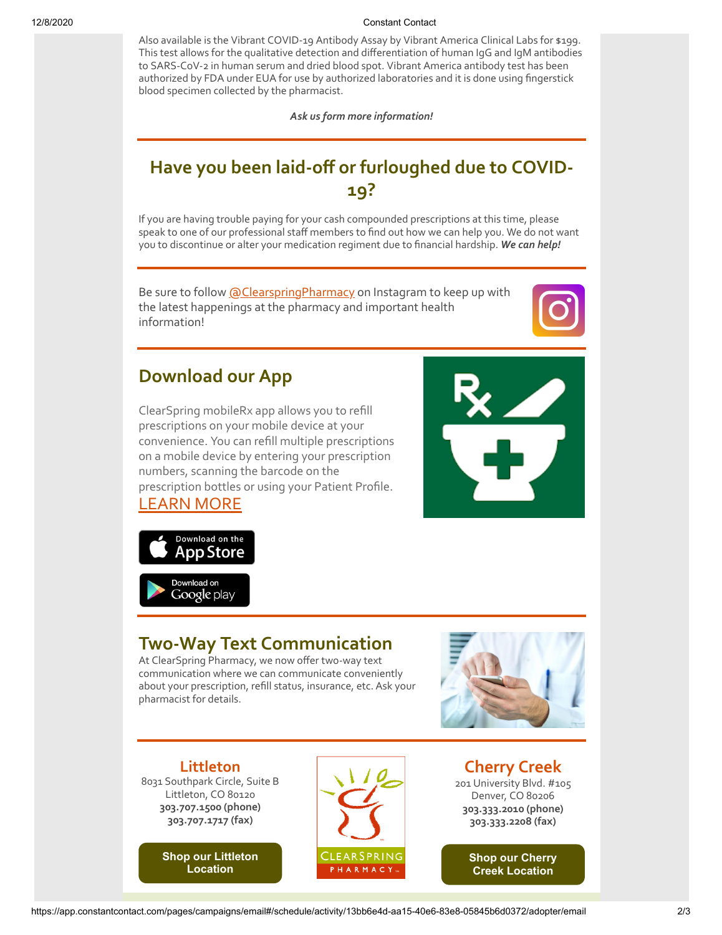#### 12/8/2020 Constant Contact

Also available is the Vibrant COVID-19 Antibody Assay by Vibrant America Clinical Labs for \$199. This test allows for the qualitative detection and differentiation of human IgG and IgM antibodies to SARS-CoV-2 in human serum and dried blood spot. Vibrant America antibody test has been authorized by FDA under EUA for use by authorized laboratories and it is done using fingerstick blood specimen collected by the pharmacist.

*Ask us form more information!*

# **Have you been laid-off or furloughed due to COVID-19?**

If you are having trouble paying for your cash compounded prescriptions at this time, please speak to one of our professional staff members to find out how we can help you. We do not want you to discontinue or alter your medication regiment due to financial hardship. *We can help!*

Be sure to follow [@ClearspringPharmacy](https://www.instagram.com/clearspringpharmacy/) on Instagram to keep up with the latest happenings at the pharmacy and important health information!



### **Download our App**

ClearSpring mobileRx app allows you to refill prescriptions on your mobile device at your convenience. You can refill multiple prescriptions on a mobile device by entering your prescription numbers, scanning the barcode on the prescription bottles or using your Patient Profile.







# **Two-Way Text Communication**

At ClearSpring Pharmacy, we now offer two-way text communication where we can communicate conveniently about your prescription, refill status, insurance, etc. Ask your pharmacist for details.



**Littleton** 8031 Southpark Circle, Suite B Littleton, CO 80120 **303.707.1500 (phone) 303.707.1717 (fax)**

> **[Shop our Littleton](https://www.pointy.com/shops/usa/colorado/littleton/clearspring-pharmacy-littleton?utm_source=+Patient+Newsletter+-+July+2018&utm_campaign=Patient+-+July+2018&utm_medium=email) Location**



**Cherry Creek** 201 University Blvd. #105 Denver, CO 80206 **303.333.2010 (phone) 303.333.2208 (fax)**

> **[Shop our Cherry](https://www.pointy.com/shops/usa/colorado/denver/clearspring-pharmacy-cherry-creek?utm_source=+Patient+Newsletter+-+July+2018&utm_campaign=Patient+-+July+2018&utm_medium=email) Creek Location**